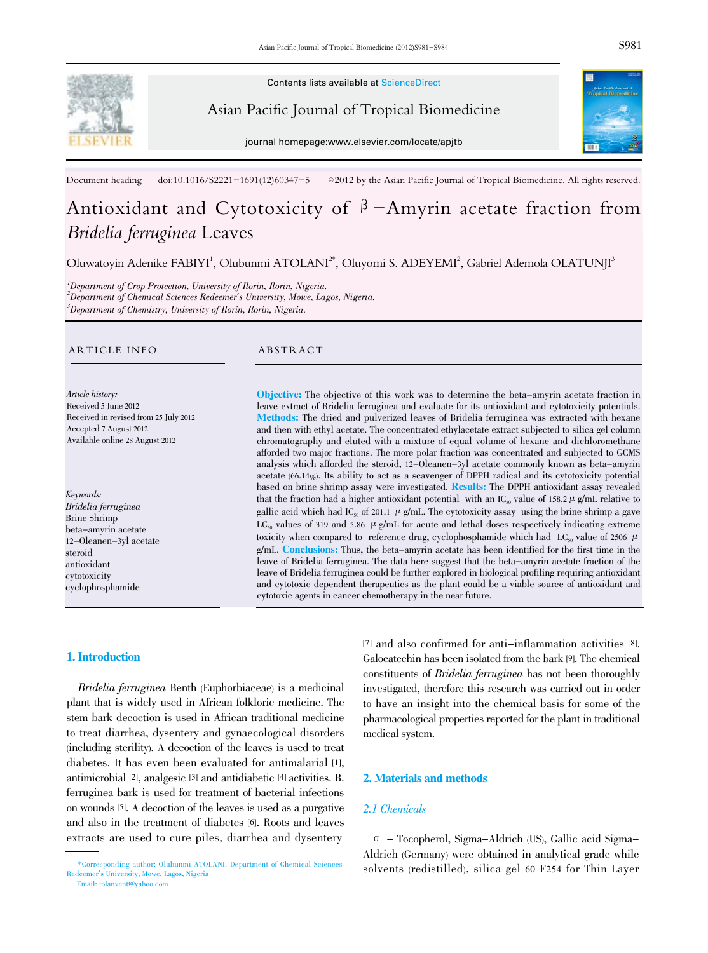

Contents lists available at ScienceDirect

Asian Pacific Journal of Tropical Biomedicine

journal homepage:www.elsevier.com/locate/apjtb



Document heading doi:10.1016/S2221-1691(12)60347-5 © 2012 by the Asian Pacific Journal of Tropical Biomedicine. All rights reserved.

# Antioxidant and Cytotoxicity of  $\beta$ -Amyrin acetate fraction from Bridelia ferruginea Leaves

Oluwatoyin Adenike FABIYI<sup>1</sup>, Olubunmi ATOLANI<sup>2\*</sup>, Oluyomi S. ADEYEMI<sup>2</sup>, Gabriel Ademola OLATUNJI<sup>3</sup>

<sup>1</sup>Department of Crop Protection, University of Ilorin, Ilorin, Nigeria. 2 Department of Chemical Sciences Redeemer's University, Mowe, Lagos, Nigeria.  ${}^{3}$ Department of Chemistry, University of Ilorin, Ilorin, Nigeria.

#### ARTICLE INFO ABSTRACT

Article history: Received 5 June 2012 Received in revised from 25 July 2012 Accepted 7 August 2012 Available online 28 August 2012

Keywords: Bridelia ferruginea Brine Shrimp beta-amyrin acetate 12-Oleanen-3yl acetate steroid antioxidant cytotoxicity cyclophosphamide

Objective: The objective of this work was to determine the beta-amyrin acetate fraction in leave extract of Bridelia ferruginea and evaluate for its antioxidant and cytotoxicity potentials. Methods: The dried and pulverized leaves of Bridelia ferruginea was extracted with hexane and then with ethyl acetate. The concentrated ethylacetate extract subjected to silica gel column chromatography and eluted with a mixture of equal volume of hexane and dichloromethane afforded two major fractions. The more polar fraction was concentrated and subjected to GCMS analysis which afforded the steroid, 12-Oleanen-3yl acetate commonly known as beta-amyrin acetate (66.14%). Its ability to act as a scavenger of DPPH radical and its cytotoxicity potential based on brine shrimp assay were investigated. Results: The DPPH antioxidant assay revealed that the fraction had a higher antioxidant potential with an IC<sub>50</sub> value of 158.2  $\mu$  g/mL relative to gallic acid which had IC<sub>50</sub> of 201.1  $\mu$  g/mL. The cytotoxicity assay using the brine shrimp a gave LC<sub>90</sub> values of 319 and 5.86  $\mu$  g/mL for acute and lethal doses respectively indicating extreme toxicity when compared to reference drug, cyclophosphamide which had LC<sub>50</sub> value of 2506  $\mu$ g/mL. Conclusions: Thus, the beta-amyrin acetate has been identified for the first time in the leave of Bridelia ferruginea. The data here suggest that the beta-amyrin acetate fraction of the leave of Bridelia ferruginea could be further explored in biological profiling requiring antioxidant and cytotoxic dependent therapeutics as the plant could be a viable source of antioxidant and cytotoxic agents in cancer chemotherapy in the near future.

# 1. Introduction

Bridelia ferruginea Benth (Euphorbiaceae) is a medicinal plant that is widely used in African folkloric medicine. The stem bark decoction is used in African traditional medicine to treat diarrhea, dysentery and gynaecological disorders (including sterility). A decoction of the leaves is used to treat diabetes. It has even been evaluated for antimalarial [1], antimicrobial [2], analgesic [3] and antidiabetic [4] activities. B. ferruginea bark is used for treatment of bacterial infections on wounds [5]. A decoction of the leaves is used as a purgative and also in the treatment of diabetes [6]. Roots and leaves extracts are used to cure piles, diarrhea and dysentery

[7] and also confirmed for anti-inflammation activities [8]. Galocatechin has been isolated from the bark [9]. The chemical constituents of Bridelia ferruginea has not been thoroughly investigated, therefore this research was carried out in order to have an insight into the chemical basis for some of the pharmacological properties reported for the plant in traditional medical system.

# 2. Materials and methods

# 2.1 Chemicals

α - Tocopherol, Sigma-Aldrich (US), Gallic acid Sigma-Aldrich (Germany) were obtained in analytical grade while solvents (redistilled), silica gel 60 F254 for Thin Layer

<sup>\*</sup>Corresponding author: Olubunmi ATOLANI. Department of Chemical Sciences Redeemer's University, Mowe, Lagos, Nigeria Email: tolanvent@yahoo.com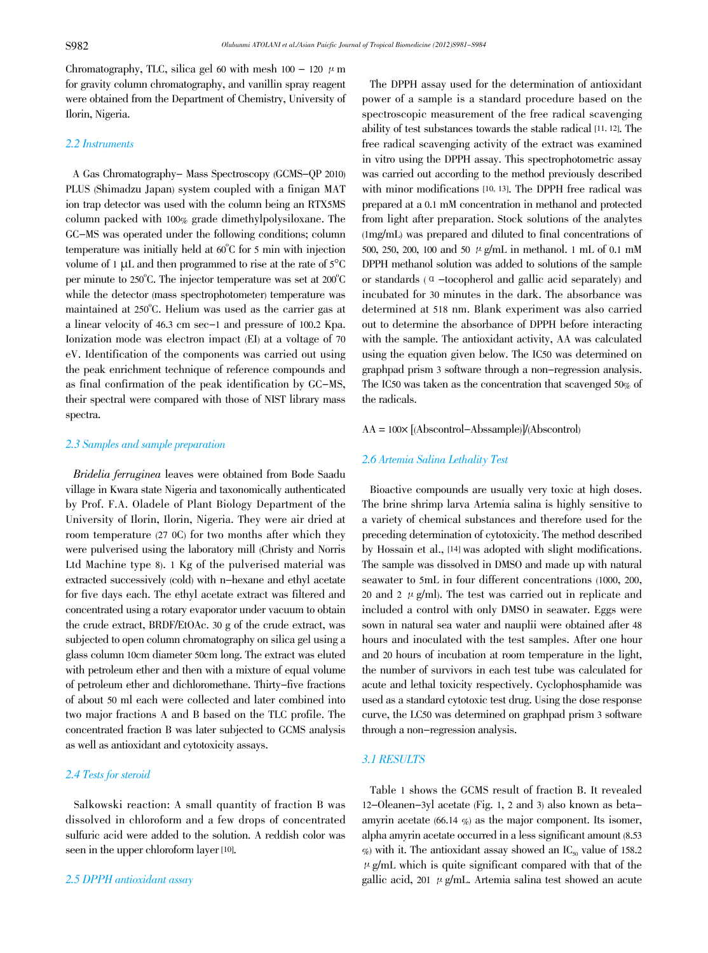Chromatography, TLC, silica gel 60 with mesh  $100 - 120$   $\mu$  m for gravity column chromatography, and vanillin spray reagent were obtained from the Department of Chemistry, University of Ilorin, Nigeria.

#### 2.2 Instruments

A Gas Chromatography- Mass Spectroscopy (GCMS-QP 2010) PLUS (Shimadzu Japan) system coupled with a finigan MAT ion trap detector was used with the column being an RTX5MS column packed with 100% grade dimethylpolysiloxane. The GC-MS was operated under the following conditions; column temperature was initially held at 60°C for 5 min with injection volume of <sup>1</sup> μL and then programmed to rise at the rate of <sup>5</sup>°C per minute to 250°C. The injector temperature was set at 200°C while the detector (mass spectrophotometer) temperature was maintained at 250°C. Helium was used as the carrier gas at a linear velocity of 46.3 cm sec-1 and pressure of 100.2 Kpa. Ionization mode was electron impact (EI) at a voltage of 70 eV. Identification of the components was carried out using the peak enrichment technique of reference compounds and as final confirmation of the peak identification by GC-MS, their spectral were compared with those of NIST library mass spectra.

# 2.3 Samples and sample preparation

 Bridelia ferruginea leaves were obtained from Bode Saadu village in Kwara state Nigeria and taxonomically authenticated by Prof. F.A. Oladele of Plant Biology Department of the University of Ilorin, Ilorin, Nigeria. They were air dried at room temperature (27 0C) for two months after which they were pulverised using the laboratory mill (Christy and Norris Ltd Machine type 8). 1 Kg of the pulverised material was extracted successively (cold) with n-hexane and ethyl acetate for five days each. The ethyl acetate extract was filtered and concentrated using a rotary evaporator under vacuum to obtain the crude extract, BRDF/EtOAc. 30 g of the crude extract, was subjected to open column chromatography on silica gel using a glass column 10cm diameter 50cm long. The extract was eluted with petroleum ether and then with a mixture of equal volume of petroleum ether and dichloromethane. Thirty-five fractions of about 50 ml each were collected and later combined into two major fractions A and B based on the TLC profile. The concentrated fraction B was later subjected to GCMS analysis as well as antioxidant and cytotoxicity assays.

# 2.4 Tests for steroid

Salkowski reaction: A small quantity of fraction B was dissolved in chloroform and a few drops of concentrated sulfuric acid were added to the solution. A reddish color was seen in the upper chloroform layer [10].

The DPPH assay used for the determination of antioxidant power of a sample is a standard procedure based on the spectroscopic measurement of the free radical scavenging ability of test substances towards the stable radical [11, 12]. The free radical scavenging activity of the extract was examined in vitro using the DPPH assay. This spectrophotometric assay was carried out according to the method previously described with minor modifications [10, 13]. The DPPH free radical was prepared at a 0.1 mM concentration in methanol and protected from light after preparation. Stock solutions of the analytes (1mg/mL) was prepared and diluted to final concentrations of 500, 250, 200, 100 and 50  $\mu$  g/mL in methanol. 1 mL of 0.1 mM DPPH methanol solution was added to solutions of the sample or standards (α-tocopherol and gallic acid separately) and incubated for 30 minutes in the dark. The absorbance was determined at 518 nm. Blank experiment was also carried out to determine the absorbance of DPPH before interacting with the sample. The antioxidant activity, AA was calculated using the equation given below. The IC50 was determined on graphpad prism 3 software through a non-regression analysis. The IC50 was taken as the concentration that scavenged 50% of the radicals.

# $AA = 100 \times [(Abscontrol - Abssample)]/(Abscontrol)$

#### 2.6 Artemia Salina Lethality Test

Bioactive compounds are usually very toxic at high doses. The brine shrimp larva Artemia salina is highly sensitive to a variety of chemical substances and therefore used for the preceding determination of cytotoxicity. The method described by Hossain et al., [14] was adopted with slight modifications. The sample was dissolved in DMSO and made up with natural seawater to 5mL in four different concentrations (1000, 200, 20 and 2  $\mu$  g/ml). The test was carried out in replicate and included a control with only DMSO in seawater. Eggs were sown in natural sea water and nauplii were obtained after 48 hours and inoculated with the test samples. After one hour and 20 hours of incubation at room temperature in the light, the number of survivors in each test tube was calculated for acute and lethal toxicity respectively. Cyclophosphamide was used as a standard cytotoxic test drug. Using the dose response curve, the LC50 was determined on graphpad prism 3 software through a non-regression analysis.

# 3.1 RESULTS

Table 1 shows the GCMS result of fraction B. It revealed 12-Oleanen-3yl acetate (Fig. 1, 2 and 3) also known as betaamyrin acetate  $(66.14 \%)$  as the major component. Its isomer, alpha amyrin acetate occurred in a less significant amount (8.53  $\%$ ) with it. The antioxidant assay showed an IC<sub>50</sub> value of 158.2  $\mu$  g/mL which is quite significant compared with that of the gallic acid, 201  $\mu$  g/mL. Artemia salina test showed an acute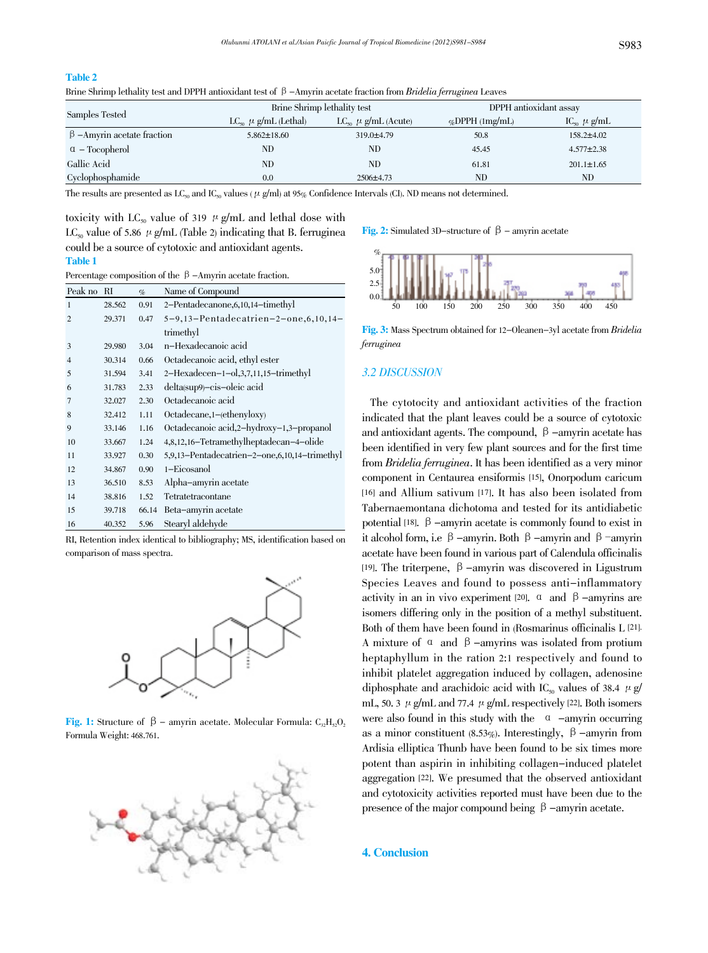#### Table 2

Brine Shrimp lethality test and DPPH antioxidant test of β-Amyrin acetate fraction from Bridelia ferruginea Leaves

| Samples Tested                   | Brine Shrimp lethality test   |                                     | DPPH antioxidant assay |                                    |
|----------------------------------|-------------------------------|-------------------------------------|------------------------|------------------------------------|
|                                  | $LC_{so}$ $\mu$ g/mL (Lethal) | LC <sub>50</sub> $\mu$ g/mL (Acute) | %DPPH $(1mg/mL)$       | $\text{IC}_{\text{so}}$ $\mu$ g/mL |
| $\beta$ –Amyrin acetate fraction | $5.862 \pm 18.60$             | $319.0 \pm 4.79$                    | 50.8                   | $158.2 \pm 4.02$                   |
| $\alpha$ – Tocopherol            | ND                            | ND                                  | 45.45                  | $4.577 \pm 2.38$                   |
| Gallic Acid                      | ND                            | ND                                  | 61.81                  | $201.1 \pm 1.65$                   |
| Cyclophosphamide                 | 0.0                           | $2506 \pm 4.73$                     | ND                     | ND                                 |

The results are presented as  $LC_{50}$  and  $IC_{50}$  values (  $\mu$  g/ml) at 95% Confidence Intervals (Cl). ND means not determined.

toxicity with LC<sub>50</sub> value of 319  $\mu$  g/mL and lethal dose with LC<sub>50</sub> value of 5.86  $\mu$  g/mL (Table 2) indicating that B. ferruginea could be a source of cytotoxic and antioxidant agents. Table 1

Percentage composition of the β-Amyrin acetate fraction.

| Peak no        | RI     | $\%$  | Name of Compound                              |
|----------------|--------|-------|-----------------------------------------------|
| 1              | 28.562 | 0.91  | 2-Pentadecanone, 6, 10, 14-timethyl           |
| $\overline{2}$ | 29.371 | 0.47  | $5-9,13-Pentadecatrien-2-one, 6,10,14-$       |
|                |        |       | trimethyl                                     |
| 3              | 29.980 | 3.04  | n-Hexadecanoic acid                           |
| $\overline{4}$ | 30.314 | 0.66  | Octadecanoic acid, ethyl ester                |
| 5              | 31.594 | 3.41  | $2-Hexadecen-1-0,3,7,11,15-trimethyl$         |
| 6              | 31.783 | 2.33  | delta(sup9)-cis-oleic acid                    |
| $\overline{7}$ | 32.027 | 2.30  | Octadecanoic acid                             |
| 8              | 32.412 | 1.11  | Octadecane, 1-(ethenyloxy)                    |
| 9              | 33.146 | 1.16  | Octadecanoic acid, 2-hydroxy-1, 3-propanol    |
| 10             | 33.667 | 1.24  | 4,8,12,16–Tetramethylheptadecan–4–olide       |
| 11             | 33.927 | 0.30  | 5,9,13–Pentadecatrien–2–one,6,10,14–trimethyl |
| 12             | 34.867 | 0.90  | 1-Eicosanol                                   |
| 13             | 36.510 | 8.53  | Alpha-amyrin acetate                          |
| 14             | 38.816 | 1.52  | Tetratetracontane                             |
| 15             | 39.718 | 66.14 | Beta-amyrin acetate                           |
| 16             | 40.352 | 5.96  | Stearyl aldehyde                              |

RI, Retention index identical to bibliography; MS, identification based on comparison of mass spectra.



**Fig. 1:** Structure of  $\beta$  – amyrin acetate. Molecular Formula:  $C_3H_3O_2$ Formula Weight: 468.761.



Fig. 2: Simulated 3D-structure of  $\beta$  – amyrin acetate



Fig. 3: Mass Spectrum obtained for 12-Oleanen-3yl acetate from Bridelia ferruginea

# 3.2 DISCUSSION

The cytotocity and antioxidant activities of the fraction indicated that the plant leaves could be a source of cytotoxic and antioxidant agents. The compound,  $\beta$  -amyrin acetate has been identified in very few plant sources and for the first time from Bridelia ferruginea. It has been identified as a very minor component in Centaurea ensiformis [15], Onorpodum caricum [16] and Allium sativum [17]. It has also been isolated from Tabernaemontana dichotoma and tested for its antidiabetic potential [18].  $\beta$  -amyrin acetate is commonly found to exist in it alcohol form, i.e β-amyrin. Both β-amyrin and β-amyrin acetate have been found in various part of Calendula officinalis [19]. The triterpene, β-amyrin was discovered in Ligustrum Species Leaves and found to possess anti-inflammatory activity in an in vivo experiment [20].  $\alpha$  and  $\beta$  -amyrins are isomers differing only in the position of a methyl substituent. Both of them have been found in (Rosmarinus officinalis L [21]. A mixture of  $\alpha$  and  $\beta$  -amyrins was isolated from protium heptaphyllum in the ration 2:1 respectively and found to inhibit platelet aggregation induced by collagen, adenosine diphosphate and arachidoic acid with IC<sub>50</sub> values of 38.4  $\mu$  g/ mL, 50. 3  $\mu$  g/mL and 77.4  $\mu$  g/mL respectively [22]. Both isomers were also found in this study with the  $\alpha$  -amyrin occurring as a minor constituent (8.53%). Interestingly,  $\beta$  -amyrin from Ardisia elliptica Thunb have been found to be six times more potent than aspirin in inhibiting collagen-induced platelet aggregation [22]. We presumed that the observed antioxidant and cytotoxicity activities reported must have been due to the presence of the major compound being  $β$  -amyrin acetate.

## 4. Conclusion